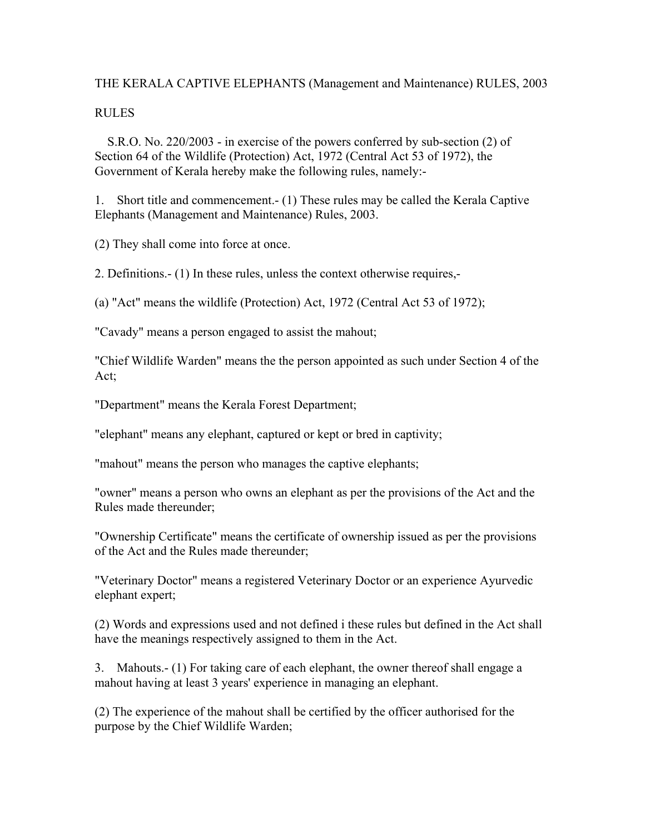## THE KERALA CAPTIVE ELEPHANTS (Management and Maintenance) RULES, 2003

#### RULES

 S.R.O. No. 220/2003 - in exercise of the powers conferred by sub-section (2) of Section 64 of the Wildlife (Protection) Act, 1972 (Central Act 53 of 1972), the Government of Kerala hereby make the following rules, namely:-

1. Short title and commencement.- (1) These rules may be called the Kerala Captive Elephants (Management and Maintenance) Rules, 2003.

(2) They shall come into force at once.

2. Definitions.- (1) In these rules, unless the context otherwise requires,-

(a) "Act" means the wildlife (Protection) Act, 1972 (Central Act 53 of 1972);

"Cavady" means a person engaged to assist the mahout;

"Chief Wildlife Warden" means the the person appointed as such under Section 4 of the Act;

"Department" means the Kerala Forest Department;

"elephant" means any elephant, captured or kept or bred in captivity;

"mahout" means the person who manages the captive elephants;

"owner" means a person who owns an elephant as per the provisions of the Act and the Rules made thereunder;

"Ownership Certificate" means the certificate of ownership issued as per the provisions of the Act and the Rules made thereunder;

"Veterinary Doctor" means a registered Veterinary Doctor or an experience Ayurvedic elephant expert;

(2) Words and expressions used and not defined i these rules but defined in the Act shall have the meanings respectively assigned to them in the Act.

3. Mahouts.- (1) For taking care of each elephant, the owner thereof shall engage a mahout having at least 3 years' experience in managing an elephant.

(2) The experience of the mahout shall be certified by the officer authorised for the purpose by the Chief Wildlife Warden;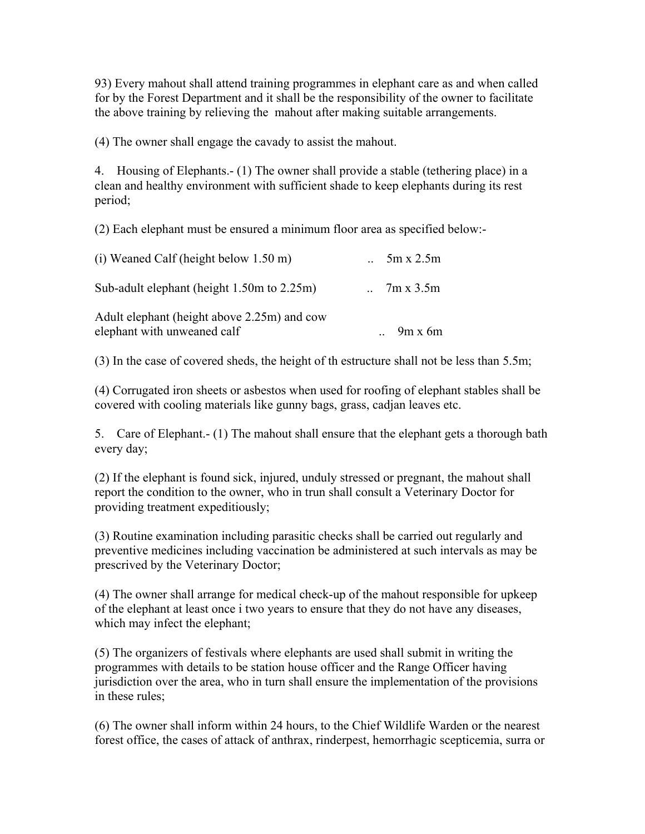93) Every mahout shall attend training programmes in elephant care as and when called for by the Forest Department and it shall be the responsibility of the owner to facilitate the above training by relieving the mahout after making suitable arrangements.

(4) The owner shall engage the cavady to assist the mahout.

4. Housing of Elephants.- (1) The owner shall provide a stable (tethering place) in a clean and healthy environment with sufficient shade to keep elephants during its rest period;

(2) Each elephant must be ensured a minimum floor area as specified below:-

| $5m \times 2.5m$ |
|------------------|
| 7m x 3.5m        |
| $9m \times 6m$   |
|                  |

(3) In the case of covered sheds, the height of th estructure shall not be less than 5.5m;

(4) Corrugated iron sheets or asbestos when used for roofing of elephant stables shall be covered with cooling materials like gunny bags, grass, cadjan leaves etc.

5. Care of Elephant.- (1) The mahout shall ensure that the elephant gets a thorough bath every day;

(2) If the elephant is found sick, injured, unduly stressed or pregnant, the mahout shall report the condition to the owner, who in trun shall consult a Veterinary Doctor for providing treatment expeditiously;

(3) Routine examination including parasitic checks shall be carried out regularly and preventive medicines including vaccination be administered at such intervals as may be prescrived by the Veterinary Doctor;

(4) The owner shall arrange for medical check-up of the mahout responsible for upkeep of the elephant at least once i two years to ensure that they do not have any diseases, which may infect the elephant;

(5) The organizers of festivals where elephants are used shall submit in writing the programmes with details to be station house officer and the Range Officer having jurisdiction over the area, who in turn shall ensure the implementation of the provisions in these rules;

(6) The owner shall inform within 24 hours, to the Chief Wildlife Warden or the nearest forest office, the cases of attack of anthrax, rinderpest, hemorrhagic scepticemia, surra or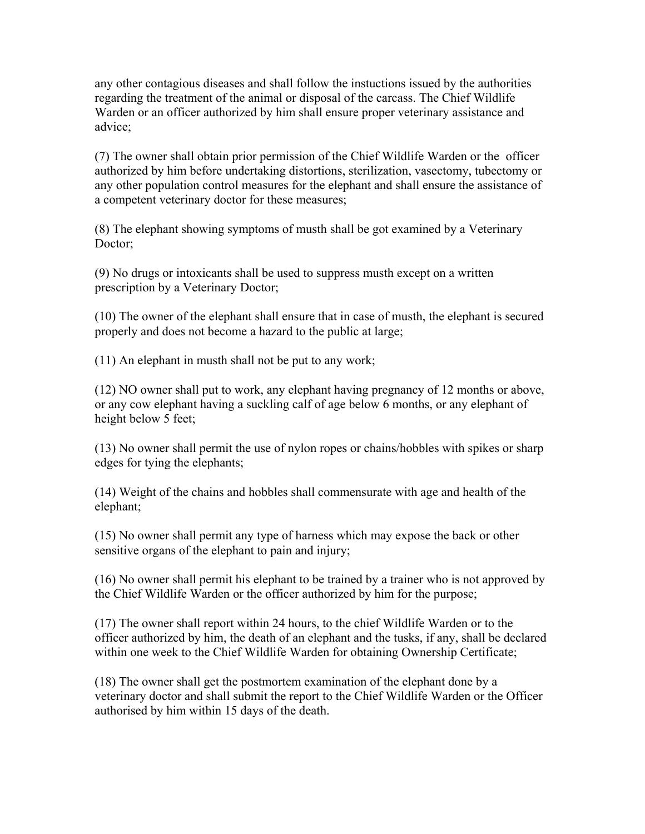any other contagious diseases and shall follow the instuctions issued by the authorities regarding the treatment of the animal or disposal of the carcass. The Chief Wildlife Warden or an officer authorized by him shall ensure proper veterinary assistance and advice;

(7) The owner shall obtain prior permission of the Chief Wildlife Warden or the officer authorized by him before undertaking distortions, sterilization, vasectomy, tubectomy or any other population control measures for the elephant and shall ensure the assistance of a competent veterinary doctor for these measures;

(8) The elephant showing symptoms of musth shall be got examined by a Veterinary Doctor;

(9) No drugs or intoxicants shall be used to suppress musth except on a written prescription by a Veterinary Doctor;

(10) The owner of the elephant shall ensure that in case of musth, the elephant is secured properly and does not become a hazard to the public at large;

(11) An elephant in musth shall not be put to any work;

(12) NO owner shall put to work, any elephant having pregnancy of 12 months or above, or any cow elephant having a suckling calf of age below 6 months, or any elephant of height below 5 feet;

(13) No owner shall permit the use of nylon ropes or chains/hobbles with spikes or sharp edges for tying the elephants;

(14) Weight of the chains and hobbles shall commensurate with age and health of the elephant;

(15) No owner shall permit any type of harness which may expose the back or other sensitive organs of the elephant to pain and injury;

(16) No owner shall permit his elephant to be trained by a trainer who is not approved by the Chief Wildlife Warden or the officer authorized by him for the purpose;

(17) The owner shall report within 24 hours, to the chief Wildlife Warden or to the officer authorized by him, the death of an elephant and the tusks, if any, shall be declared within one week to the Chief Wildlife Warden for obtaining Ownership Certificate;

(18) The owner shall get the postmortem examination of the elephant done by a veterinary doctor and shall submit the report to the Chief Wildlife Warden or the Officer authorised by him within 15 days of the death.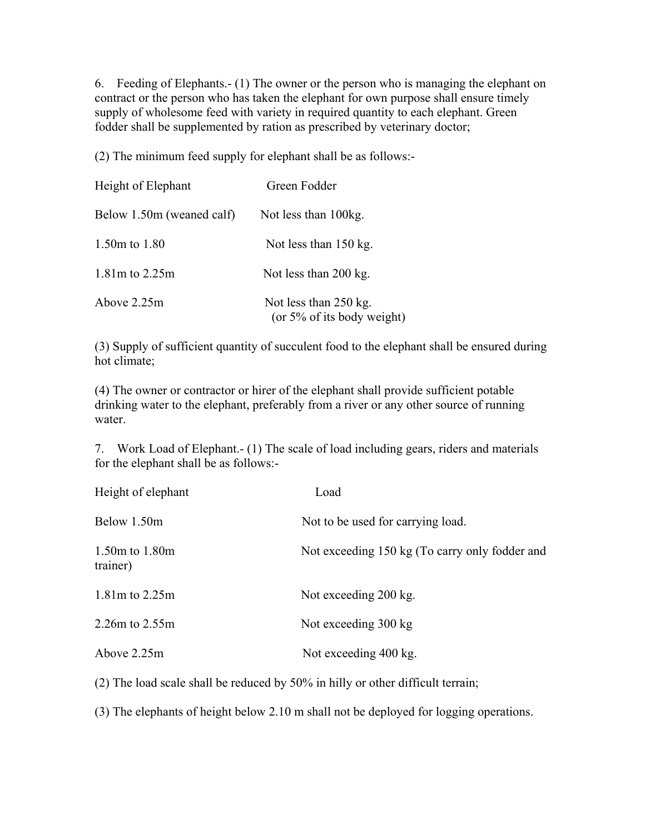6. Feeding of Elephants.- (1) The owner or the person who is managing the elephant on contract or the person who has taken the elephant for own purpose shall ensure timely supply of wholesome feed with variety in required quantity to each elephant. Green fodder shall be supplemented by ration as prescribed by veterinary doctor;

(2) The minimum feed supply for elephant shall be as follows:-

| Height of Elephant        | Green Fodder                                             |
|---------------------------|----------------------------------------------------------|
| Below 1.50m (weaned calf) | Not less than 100kg.                                     |
| 1.50m to $1.80$           | Not less than $150$ kg.                                  |
| $1.81m$ to $2.25m$        | Not less than 200 kg.                                    |
| Above 2.25m               | Not less than $250$ kg.<br>(or $5\%$ of its body weight) |

(3) Supply of sufficient quantity of succulent food to the elephant shall be ensured during hot climate;

(4) The owner or contractor or hirer of the elephant shall provide sufficient potable drinking water to the elephant, preferably from a river or any other source of running water.

7. Work Load of Elephant.- (1) The scale of load including gears, riders and materials for the elephant shall be as follows:-

| Height of elephant         | Load                                           |
|----------------------------|------------------------------------------------|
| Below 1.50m                | Not to be used for carrying load.              |
| 1.50m to 1.80m<br>trainer) | Not exceeding 150 kg (To carry only fodder and |
| 1.81m to 2.25m             | Not exceeding 200 kg.                          |
| 2.26m to 2.55m             | Not exceeding 300 kg                           |
| Above 2.25m                | Not exceeding 400 kg.                          |

(2) The load scale shall be reduced by 50% in hilly or other difficult terrain;

(3) The elephants of height below 2.10 m shall not be deployed for logging operations.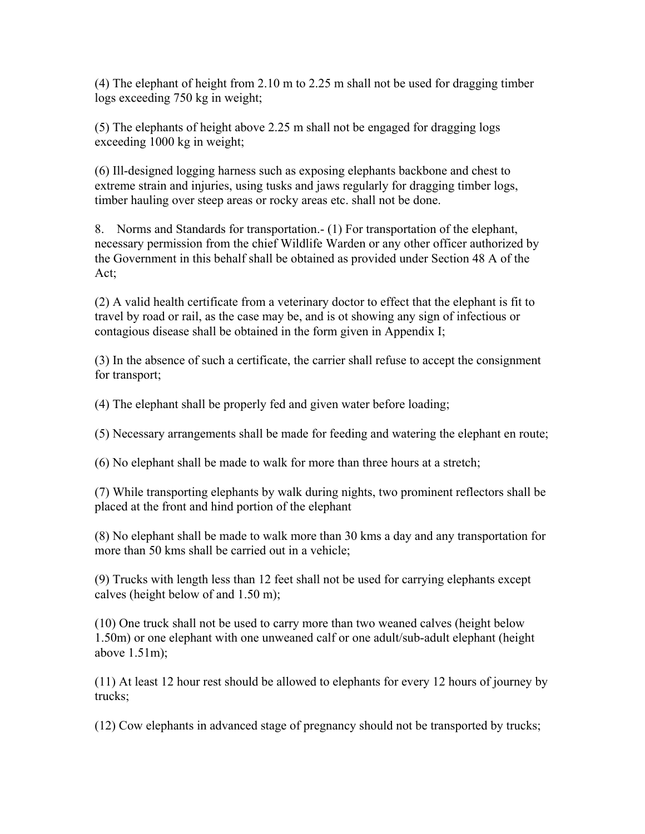(4) The elephant of height from 2.10 m to 2.25 m shall not be used for dragging timber logs exceeding 750 kg in weight;

(5) The elephants of height above 2.25 m shall not be engaged for dragging logs exceeding 1000 kg in weight;

(6) Ill-designed logging harness such as exposing elephants backbone and chest to extreme strain and injuries, using tusks and jaws regularly for dragging timber logs, timber hauling over steep areas or rocky areas etc. shall not be done.

8. Norms and Standards for transportation.- (1) For transportation of the elephant, necessary permission from the chief Wildlife Warden or any other officer authorized by the Government in this behalf shall be obtained as provided under Section 48 A of the Act;

(2) A valid health certificate from a veterinary doctor to effect that the elephant is fit to travel by road or rail, as the case may be, and is ot showing any sign of infectious or contagious disease shall be obtained in the form given in Appendix I;

(3) In the absence of such a certificate, the carrier shall refuse to accept the consignment for transport;

(4) The elephant shall be properly fed and given water before loading;

(5) Necessary arrangements shall be made for feeding and watering the elephant en route;

(6) No elephant shall be made to walk for more than three hours at a stretch;

(7) While transporting elephants by walk during nights, two prominent reflectors shall be placed at the front and hind portion of the elephant

(8) No elephant shall be made to walk more than 30 kms a day and any transportation for more than 50 kms shall be carried out in a vehicle;

(9) Trucks with length less than 12 feet shall not be used for carrying elephants except calves (height below of and 1.50 m);

(10) One truck shall not be used to carry more than two weaned calves (height below 1.50m) or one elephant with one unweaned calf or one adult/sub-adult elephant (height above 1.51m);

(11) At least 12 hour rest should be allowed to elephants for every 12 hours of journey by trucks;

(12) Cow elephants in advanced stage of pregnancy should not be transported by trucks;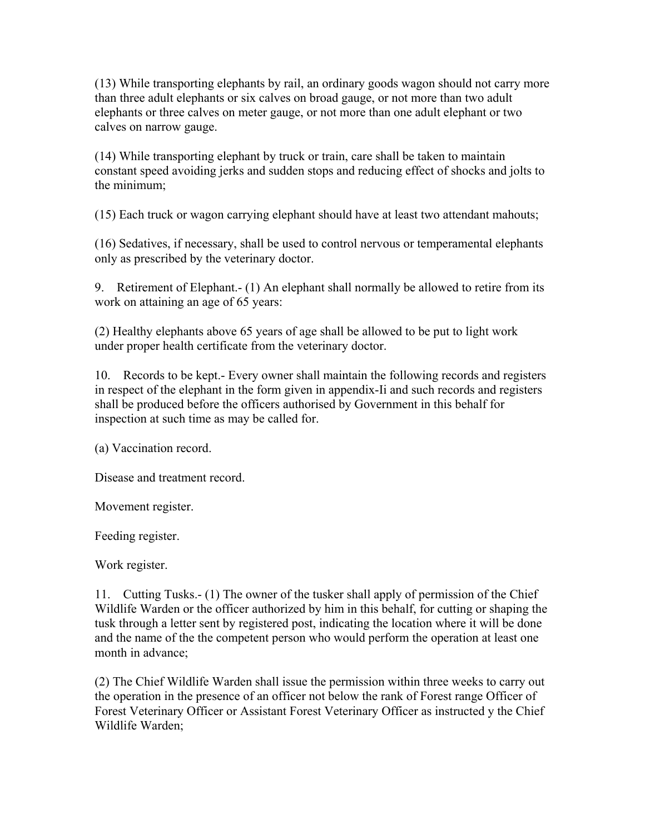(13) While transporting elephants by rail, an ordinary goods wagon should not carry more than three adult elephants or six calves on broad gauge, or not more than two adult elephants or three calves on meter gauge, or not more than one adult elephant or two calves on narrow gauge.

(14) While transporting elephant by truck or train, care shall be taken to maintain constant speed avoiding jerks and sudden stops and reducing effect of shocks and jolts to the minimum;

(15) Each truck or wagon carrying elephant should have at least two attendant mahouts;

(16) Sedatives, if necessary, shall be used to control nervous or temperamental elephants only as prescribed by the veterinary doctor.

9. Retirement of Elephant.- (1) An elephant shall normally be allowed to retire from its work on attaining an age of 65 years:

(2) Healthy elephants above 65 years of age shall be allowed to be put to light work under proper health certificate from the veterinary doctor.

10. Records to be kept.- Every owner shall maintain the following records and registers in respect of the elephant in the form given in appendix-Ii and such records and registers shall be produced before the officers authorised by Government in this behalf for inspection at such time as may be called for.

(a) Vaccination record.

Disease and treatment record.

Movement register.

Feeding register.

Work register.

11. Cutting Tusks.- (1) The owner of the tusker shall apply of permission of the Chief Wildlife Warden or the officer authorized by him in this behalf, for cutting or shaping the tusk through a letter sent by registered post, indicating the location where it will be done and the name of the the competent person who would perform the operation at least one month in advance;

(2) The Chief Wildlife Warden shall issue the permission within three weeks to carry out the operation in the presence of an officer not below the rank of Forest range Officer of Forest Veterinary Officer or Assistant Forest Veterinary Officer as instructed y the Chief Wildlife Warden;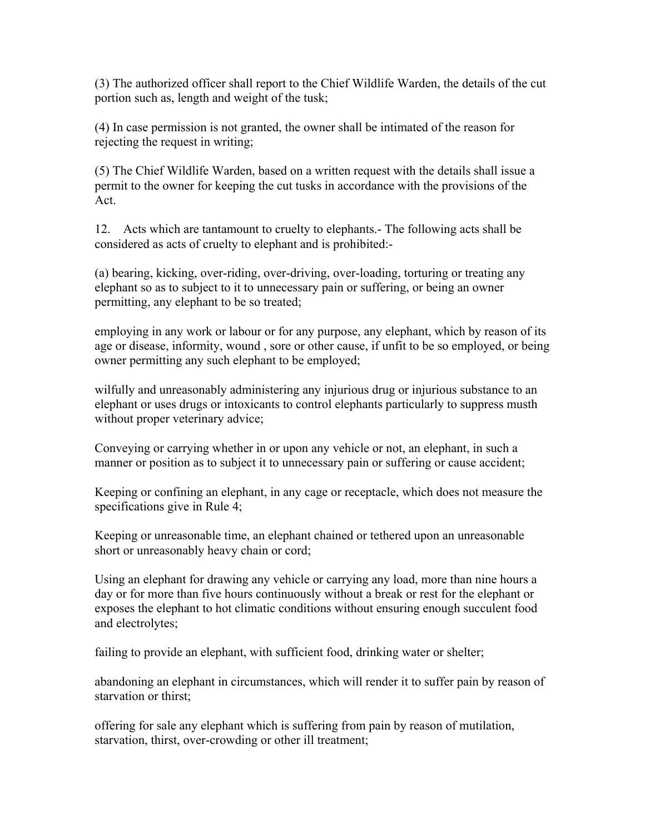(3) The authorized officer shall report to the Chief Wildlife Warden, the details of the cut portion such as, length and weight of the tusk;

(4) In case permission is not granted, the owner shall be intimated of the reason for rejecting the request in writing;

(5) The Chief Wildlife Warden, based on a written request with the details shall issue a permit to the owner for keeping the cut tusks in accordance with the provisions of the Act.

12. Acts which are tantamount to cruelty to elephants.- The following acts shall be considered as acts of cruelty to elephant and is prohibited:-

(a) bearing, kicking, over-riding, over-driving, over-loading, torturing or treating any elephant so as to subject to it to unnecessary pain or suffering, or being an owner permitting, any elephant to be so treated;

employing in any work or labour or for any purpose, any elephant, which by reason of its age or disease, informity, wound , sore or other cause, if unfit to be so employed, or being owner permitting any such elephant to be employed;

wilfully and unreasonably administering any injurious drug or injurious substance to an elephant or uses drugs or intoxicants to control elephants particularly to suppress musth without proper veterinary advice;

Conveying or carrying whether in or upon any vehicle or not, an elephant, in such a manner or position as to subject it to unnecessary pain or suffering or cause accident;

Keeping or confining an elephant, in any cage or receptacle, which does not measure the specifications give in Rule 4;

Keeping or unreasonable time, an elephant chained or tethered upon an unreasonable short or unreasonably heavy chain or cord;

Using an elephant for drawing any vehicle or carrying any load, more than nine hours a day or for more than five hours continuously without a break or rest for the elephant or exposes the elephant to hot climatic conditions without ensuring enough succulent food and electrolytes;

failing to provide an elephant, with sufficient food, drinking water or shelter;

abandoning an elephant in circumstances, which will render it to suffer pain by reason of starvation or thirst;

offering for sale any elephant which is suffering from pain by reason of mutilation, starvation, thirst, over-crowding or other ill treatment;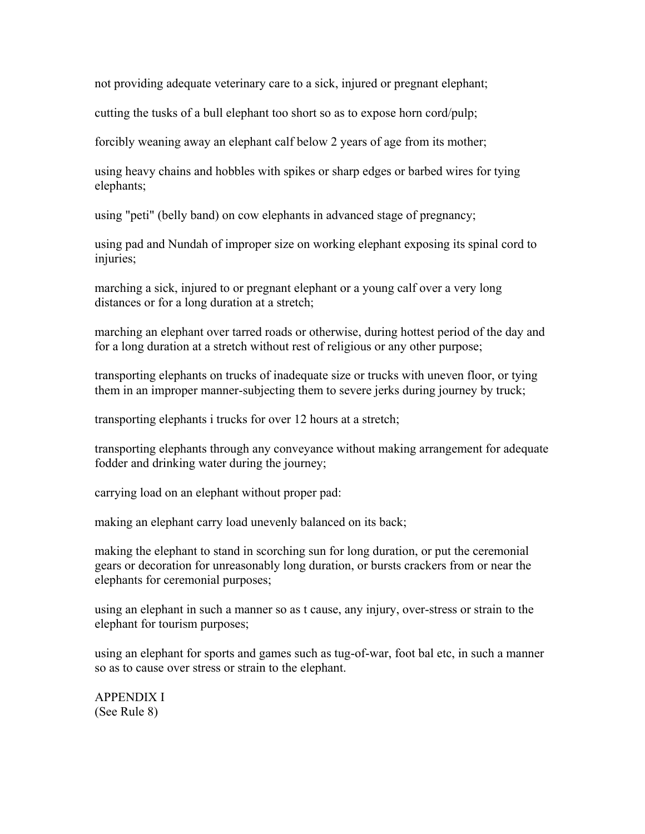not providing adequate veterinary care to a sick, injured or pregnant elephant;

cutting the tusks of a bull elephant too short so as to expose horn cord/pulp;

forcibly weaning away an elephant calf below 2 years of age from its mother;

using heavy chains and hobbles with spikes or sharp edges or barbed wires for tying elephants;

using "peti" (belly band) on cow elephants in advanced stage of pregnancy;

using pad and Nundah of improper size on working elephant exposing its spinal cord to injuries;

marching a sick, injured to or pregnant elephant or a young calf over a very long distances or for a long duration at a stretch;

marching an elephant over tarred roads or otherwise, during hottest period of the day and for a long duration at a stretch without rest of religious or any other purpose;

transporting elephants on trucks of inadequate size or trucks with uneven floor, or tying them in an improper manner-subjecting them to severe jerks during journey by truck;

transporting elephants i trucks for over 12 hours at a stretch;

transporting elephants through any conveyance without making arrangement for adequate fodder and drinking water during the journey;

carrying load on an elephant without proper pad:

making an elephant carry load unevenly balanced on its back;

making the elephant to stand in scorching sun for long duration, or put the ceremonial gears or decoration for unreasonably long duration, or bursts crackers from or near the elephants for ceremonial purposes;

using an elephant in such a manner so as t cause, any injury, over-stress or strain to the elephant for tourism purposes;

using an elephant for sports and games such as tug-of-war, foot bal etc, in such a manner so as to cause over stress or strain to the elephant.

APPENDIX I (See Rule 8)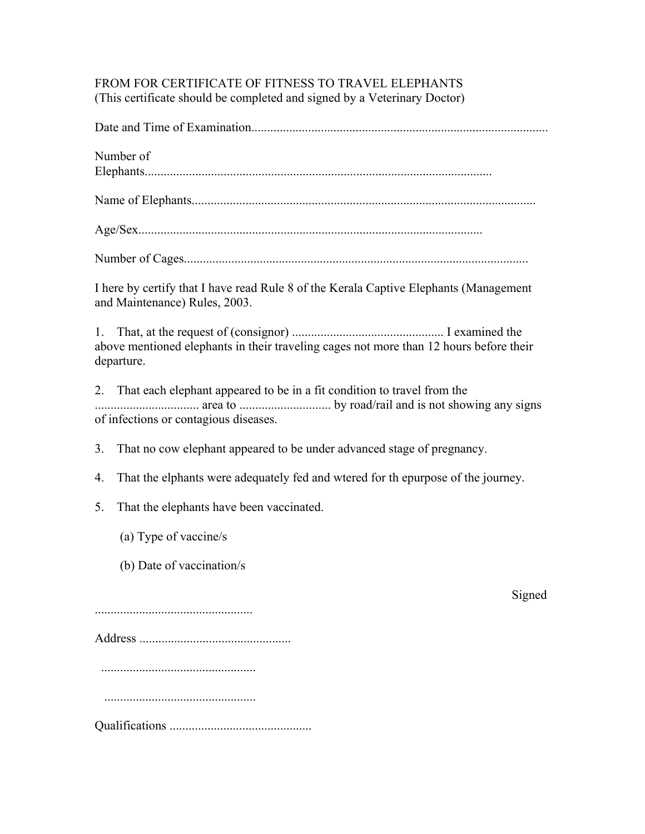# FROM FOR CERTIFICATE OF FITNESS TO TRAVEL ELEPHANTS (This certificate should be completed and signed by a Veterinary Doctor)

Date and Time of Examination..............................................................................................

Number of Elephants..............................................................................................................

Name of Elephants.............................................................................................................

Number of Cages.............................................................................................................

I here by certify that I have read Rule 8 of the Kerala Captive Elephants (Management and Maintenance) Rules, 2003.

1. That, at the request of (consignor) ................................................ I examined the above mentioned elephants in their traveling cages not more than 12 hours before their departure.

2. That each elephant appeared to be in a fit condition to travel from the ................................. area to ............................. by road/rail and is not showing any signs of infections or contagious diseases.

3. That no cow elephant appeared to be under advanced stage of pregnancy.

- 4. That the elphants were adequately fed and wtered for th epurpose of the journey.
- 5. That the elephants have been vaccinated.
	- (a) Type of vaccine/s
	- (b) Date of vaccination/s

**Signed** 

..................................................

Address ................................................

.................................................

................................................

Qualifications .............................................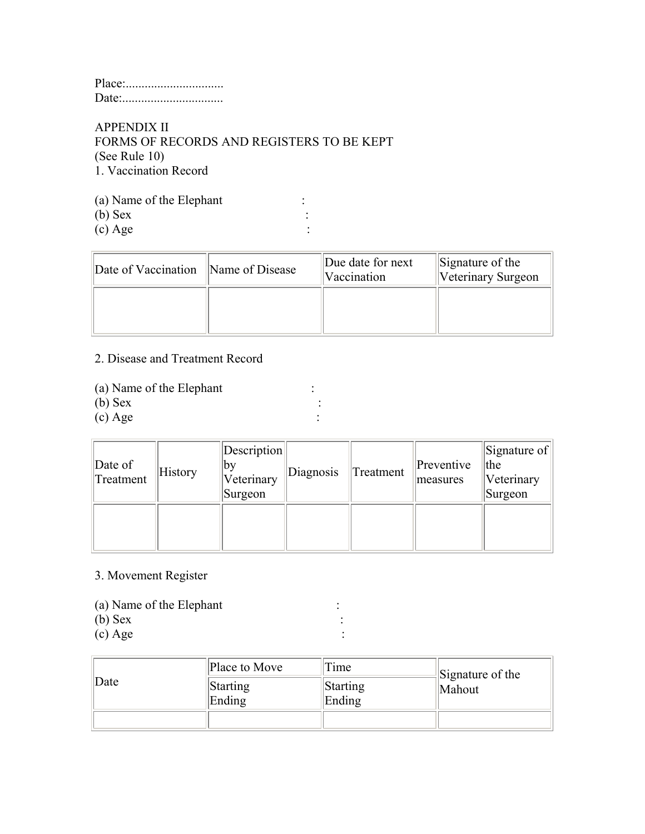## APPENDIX II FORMS OF RECORDS AND REGISTERS TO BE KEPT (See Rule 10) 1. Vaccination Record

(a) Name of the Elephant : (b) Sex :  $\overline{\text{c}}$  Age :

| Date of Vaccination Name of Disease | Due date for next<br>Vaccination | Signature of the<br>Veterinary Surgeon |
|-------------------------------------|----------------------------------|----------------------------------------|
|                                     |                                  |                                        |

## 2. Disease and Treatment Record

- (a) Name of the Elephant :
- (b) Sex :<br>
(c) Age :
- $(c)$  Age

| $\Delta$ Date of<br>Treatment | History | Description <br>∣bv<br>Veterinary<br>Surgeon | Diagnosis | Treatment | Preventive<br>measures | $\left\Vert \text{Signature of}\right\Vert$<br>the<br>Veterinary<br>Surgeon |
|-------------------------------|---------|----------------------------------------------|-----------|-----------|------------------------|-----------------------------------------------------------------------------|
|                               |         |                                              |           |           |                        |                                                                             |

# 3. Movement Register

- (a) Name of the Elephant :<br>
(b) Sex :
- $(b)$  Sex
- $\left( \text{c} \right) \text{Age}$  :

| $\Delta$ Date | Place to Move      | Time               | Signature of the |
|---------------|--------------------|--------------------|------------------|
|               | Starting<br>Ending | Starting<br>Ending | Mahout           |
|               |                    |                    |                  |